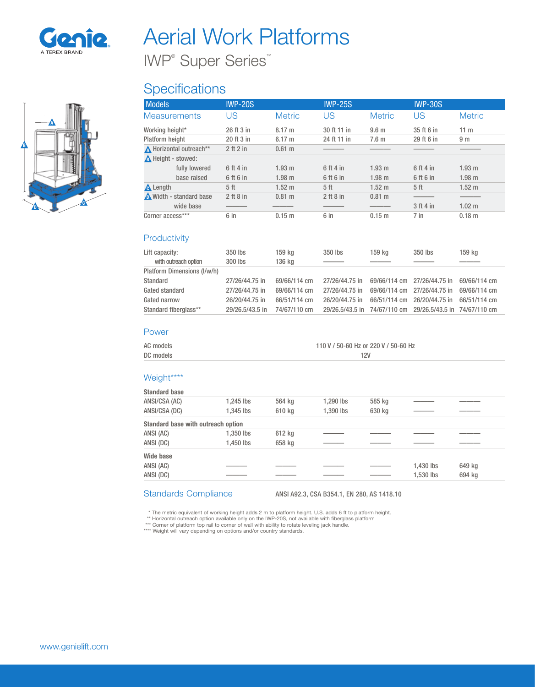

A

 $\blacksquare$ 

B

# Aerial Work Platforms

IWP® Super Series™

## **Specifications**

| <b>Models</b>           | <b>IWP-20S</b> |                   | <b>IWP-25S</b>  |                   | <b>IWP-30S</b>  |                   |
|-------------------------|----------------|-------------------|-----------------|-------------------|-----------------|-------------------|
| <b>Measurements</b>     | US             | <b>Metric</b>     | US              | <b>Metric</b>     | US              | <b>Metric</b>     |
| Working height*         | 26 ft 3 in     | $8.17 \text{ m}$  | 30 ft 11 in     | 9.6 <sub>m</sub>  | 35 ft 6 in      | 11 <sub>m</sub>   |
| Platform height         | 20 ft 3 in     | 6.17 m            | 24 ft 11 in     | 7.6 <sub>m</sub>  | 29 ft 6 in      | 9 <sub>m</sub>    |
| A Horizontal outreach** | 2 ft 2 in      | $0.61$ m          |                 |                   |                 |                   |
| A Height - stowed:      |                |                   |                 |                   |                 |                   |
| fully lowered           | 6 ft 4 in      | 1.93 m            | 6 ft 4 in       | 1.93 m            | 6 ft 4 in       | 1.93 m            |
| base raised             | 6 ft 6 in      | 1.98 m            | 6 ft 6 in       | $1.98$ m          | 6 ft 6 in       | 1.98 m            |
| <b>A</b> Length         | 5 ft           | 1.52 <sub>m</sub> | 5 <sup>ft</sup> | 1.52 <sub>m</sub> | 5 <sup>ft</sup> | 1.52 <sub>m</sub> |
| Width - standard base   | 2 ft 8 in      | $0.81$ m          | $2$ ft $8$ in   | 0.81 m            |                 |                   |
| wide base               |                |                   |                 |                   | 3 ft 4 in       | $1.02 \text{ m}$  |
| Corner access***        | 6 in           | $0.15$ m          | 6 in            | $0.15$ m          | $7$ in          | $0.18$ m          |

#### **Productivity**

| Lift capacity:<br>with outreach option | 350 lbs<br>300 lbs | 159 kg<br>136 kg | 350 lbs                                                   | 159 ka                      | 350 lbs        | 159 kg       |
|----------------------------------------|--------------------|------------------|-----------------------------------------------------------|-----------------------------|----------------|--------------|
| Platform Dimensions (I/w/h)            |                    |                  |                                                           |                             |                |              |
| Standard                               | 27/26/44.75 in     | 69/66/114 cm     | 27/26/44.75 in                                            | 69/66/114 cm 27/26/44.75 in |                | 69/66/114 cm |
| Gated standard                         | 27/26/44.75 in     | 69/66/114 cm     | 27/26/44.75 in                                            | 69/66/114 cm 27/26/44.75 in |                | 69/66/114 cm |
| Gated narrow                           | 26/20/44.75 in     | 66/51/114 cm     | 26/20/44.75 in                                            | 66/51/114 cm                | 26/20/44.75 in | 66/51/114 cm |
| Standard fiberglass**                  | 29/26.5/43.5 in    | 74/67/110 cm     | 29/26.5/43.5 in 74/67/110 cm 29/26.5/43.5 in 74/67/110 cm |                             |                |              |

#### Power

| AC models | 110 V / 50-60 Hz or 220 V / 50-60 Hz |
|-----------|--------------------------------------|
| DC models | 12V                                  |

#### Weight\*\*\*\*

| <b>Standard base</b>                      |             |        |           |        |           |        |
|-------------------------------------------|-------------|--------|-----------|--------|-----------|--------|
| ANSI/CSA (AC)                             | $1.245$ lbs | 564 kg | 1.290 lbs | 585 kg |           |        |
| ANSI/CSA (DC)                             | 1.345 lbs   | 610 kg | 1,390 lbs | 630 kg |           |        |
| <b>Standard base with outreach option</b> |             |        |           |        |           |        |
| ANSI (AC)                                 | 1,350 lbs   | 612 kg |           |        |           |        |
| ANSI (DC)                                 | 1.450 lbs   | 658 kg |           |        |           |        |
| <b>Wide base</b>                          |             |        |           |        |           |        |
| ANSI (AC)                                 |             |        |           |        | 1,430 lbs | 649 kg |
| ANSI (DC)                                 |             |        |           |        | 1,530 lbs | 694 kg |
|                                           |             |        |           |        |           |        |

Standards Compliance ANSI A92.3, CSA B354.1, EN 280, AS 1418.10

\* The metric equivalent of working height adds 2 m to platform height. U.S. adds 6 ft to platform height.<br>\*\* Horizontal outreach option available only on the IWP-20S, not available with fiberglass platform<br>\*\*\* Corner of pl